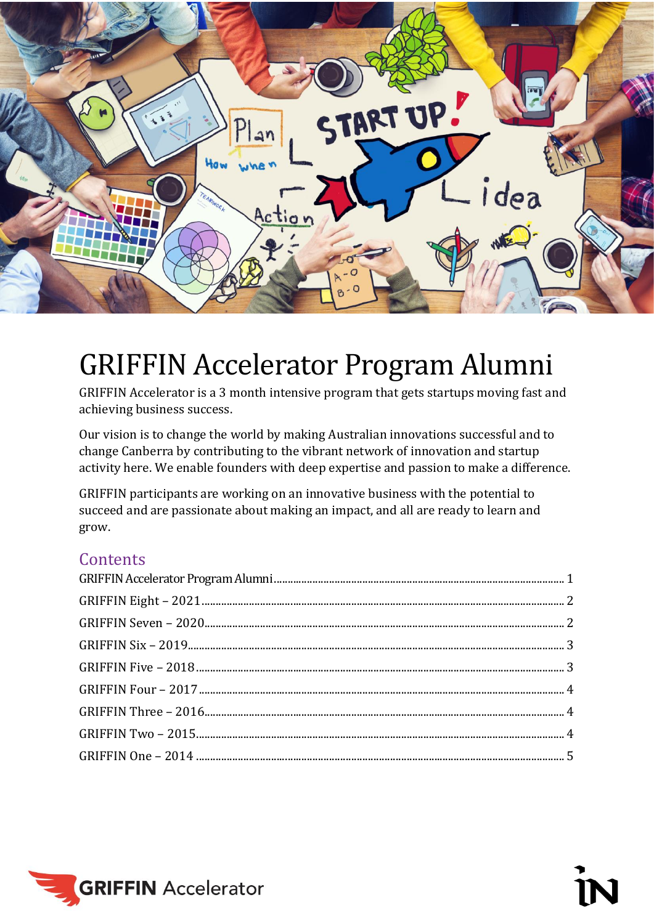

# <span id="page-0-0"></span>GRIFFIN Accelerator Program Alumni

GRIFFIN Accelerator is a 3 month intensive program that gets startups moving fast and achieving business success.

Our vision is to change the world by making Australian innovations successful and to change Canberra by contributing to the vibrant network of innovation and startup activity here. We enable founders with deep expertise and passion to make a difference.

GRIFFIN participants are working on an innovative business with the potential to succeed and are passionate about making an impact, and all are ready to learn and grow.

## **Contents**

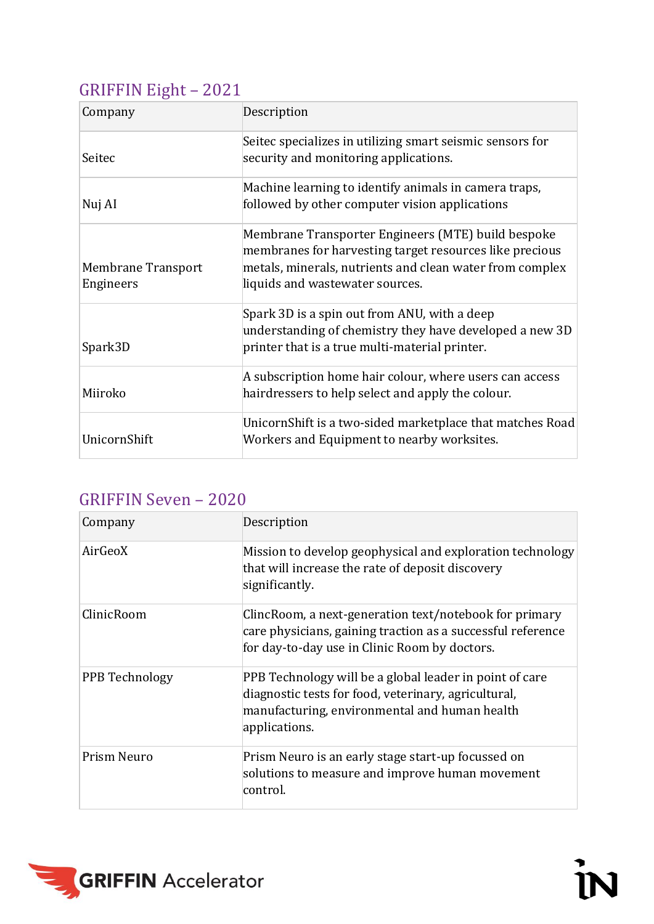## <span id="page-1-0"></span>GRIFFIN Eight – 2021

| Company                                | Description                                                                                                                                                                                                  |
|----------------------------------------|--------------------------------------------------------------------------------------------------------------------------------------------------------------------------------------------------------------|
| Seitec                                 | Seitec specializes in utilizing smart seismic sensors for<br>security and monitoring applications.                                                                                                           |
| Nuj AI                                 | Machine learning to identify animals in camera traps,<br>followed by other computer vision applications                                                                                                      |
| <b>Membrane Transport</b><br>Engineers | Membrane Transporter Engineers (MTE) build bespoke<br>membranes for harvesting target resources like precious<br>metals, minerals, nutrients and clean water from complex<br>liquids and wastewater sources. |
| Spark3D                                | Spark 3D is a spin out from ANU, with a deep<br>understanding of chemistry they have developed a new 3D<br>printer that is a true multi-material printer.                                                    |
| Miiroko                                | A subscription home hair colour, where users can access<br>hairdressers to help select and apply the colour.                                                                                                 |
| UnicornShift                           | UnicornShift is a two-sided marketplace that matches Road<br>Workers and Equipment to nearby worksites.                                                                                                      |

## <span id="page-1-1"></span>GRIFFIN Seven – 2020

| Company        | Description                                                                                                                                                                       |
|----------------|-----------------------------------------------------------------------------------------------------------------------------------------------------------------------------------|
| AirGeoX        | Mission to develop geophysical and exploration technology<br>that will increase the rate of deposit discovery<br>significantly.                                                   |
| ClinicRoom     | ClincRoom, a next-generation text/notebook for primary<br>care physicians, gaining traction as a successful reference<br>for day-to-day use in Clinic Room by doctors.            |
| PPB Technology | PPB Technology will be a global leader in point of care<br>diagnostic tests for food, veterinary, agricultural,<br>manufacturing, environmental and human health<br>applications. |
| Prism Neuro    | Prism Neuro is an early stage start-up focussed on<br>solutions to measure and improve human movement<br>control.                                                                 |

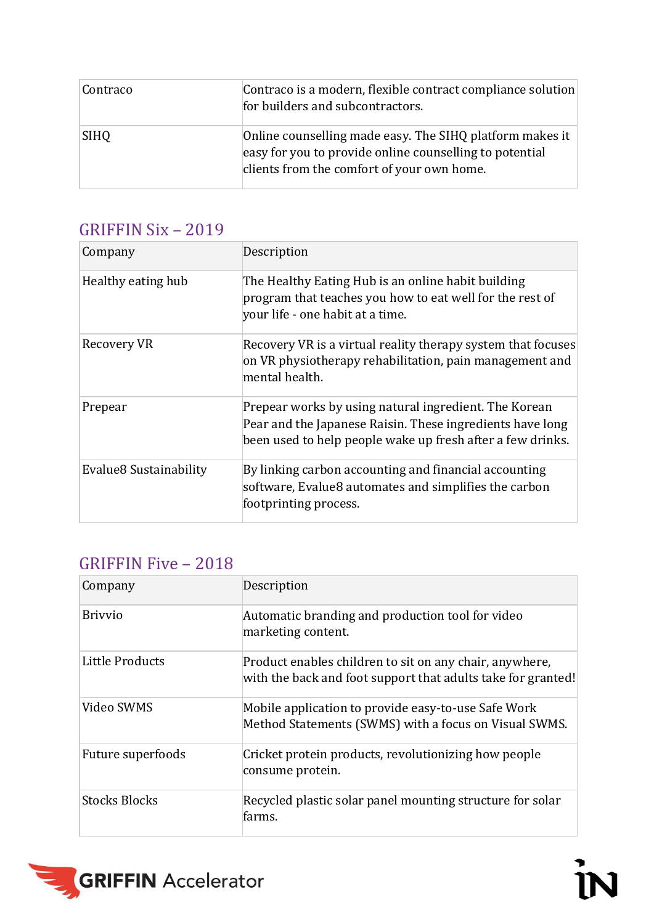| Contraco    | Contraco is a modern, flexible contract compliance solution<br>for builders and subcontractors.                                                                   |
|-------------|-------------------------------------------------------------------------------------------------------------------------------------------------------------------|
| <b>SIHQ</b> | Online counselling made easy. The SIHQ platform makes it<br>easy for you to provide online counselling to potential<br>clients from the comfort of your own home. |

## <span id="page-2-0"></span>GRIFFIN Six – 2019

| Company                | Description                                                                                                                                                                      |
|------------------------|----------------------------------------------------------------------------------------------------------------------------------------------------------------------------------|
| Healthy eating hub     | The Healthy Eating Hub is an online habit building<br>program that teaches you how to eat well for the rest of<br>your life - one habit at a time.                               |
| Recovery VR            | Recovery VR is a virtual reality therapy system that focuses<br>on VR physiotherapy rehabilitation, pain management and<br>mental health.                                        |
| Prepear                | Prepear works by using natural ingredient. The Korean<br>Pear and the Japanese Raisin. These ingredients have long<br>been used to help people wake up fresh after a few drinks. |
| Evalue8 Sustainability | By linking carbon accounting and financial accounting<br>software, Evalue8 automates and simplifies the carbon<br>footprinting process.                                          |

# <span id="page-2-1"></span>GRIFFIN Five – 2018

| Company              | Description                                                                                                             |
|----------------------|-------------------------------------------------------------------------------------------------------------------------|
| Brivvio              | Automatic branding and production tool for video<br>marketing content.                                                  |
| Little Products      | Product enables children to sit on any chair, anywhere,<br>with the back and foot support that adults take for granted! |
| Video SWMS           | Mobile application to provide easy-to-use Safe Work<br>Method Statements (SWMS) with a focus on Visual SWMS.            |
| Future superfoods    | Cricket protein products, revolutionizing how people<br>consume protein.                                                |
| <b>Stocks Blocks</b> | Recycled plastic solar panel mounting structure for solar<br>farms.                                                     |

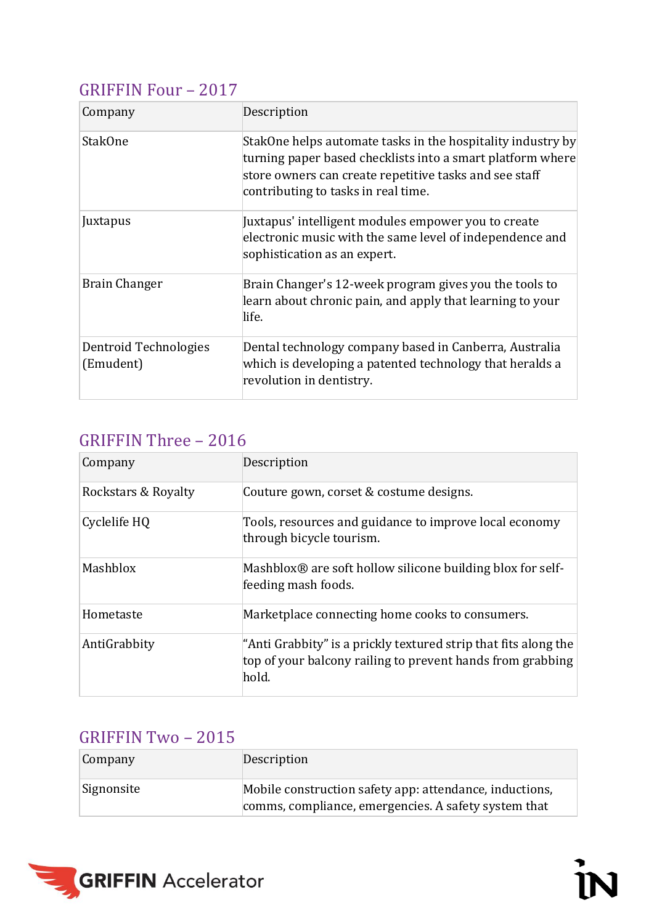## <span id="page-3-0"></span>GRIFFIN Four – 2017

| Company                            | Description                                                                                                                                                                                                                |
|------------------------------------|----------------------------------------------------------------------------------------------------------------------------------------------------------------------------------------------------------------------------|
| <b>StakOne</b>                     | StakOne helps automate tasks in the hospitality industry by<br>turning paper based checklists into a smart platform where<br>store owners can create repetitive tasks and see staff<br>contributing to tasks in real time. |
| Juxtapus                           | Juxtapus' intelligent modules empower you to create<br>electronic music with the same level of independence and<br>sophistication as an expert.                                                                            |
| <b>Brain Changer</b>               | Brain Changer's 12-week program gives you the tools to<br>learn about chronic pain, and apply that learning to your<br>life.                                                                                               |
| Dentroid Technologies<br>(Emudent) | Dental technology company based in Canberra, Australia<br>which is developing a patented technology that heralds a<br>revolution in dentistry.                                                                             |

#### <span id="page-3-1"></span>GRIFFIN Three – 2016

| Company             | Description                                                                                                                            |
|---------------------|----------------------------------------------------------------------------------------------------------------------------------------|
| Rockstars & Royalty | Couture gown, corset & costume designs.                                                                                                |
| Cyclelife HQ        | Tools, resources and guidance to improve local economy<br>through bicycle tourism.                                                     |
| Mashblox            | Mashblox® are soft hollow silicone building blox for self-<br>feeding mash foods.                                                      |
| Hometaste           | Marketplace connecting home cooks to consumers.                                                                                        |
| AntiGrabbity        | "Anti Grabbity" is a prickly textured strip that fits along the<br>top of your balcony railing to prevent hands from grabbing<br>hold. |

#### <span id="page-3-2"></span>GRIFFIN Two – 2015

| Company    | Description                                                                                                     |
|------------|-----------------------------------------------------------------------------------------------------------------|
| Signonsite | Mobile construction safety app: attendance, inductions,<br>comms, compliance, emergencies. A safety system that |